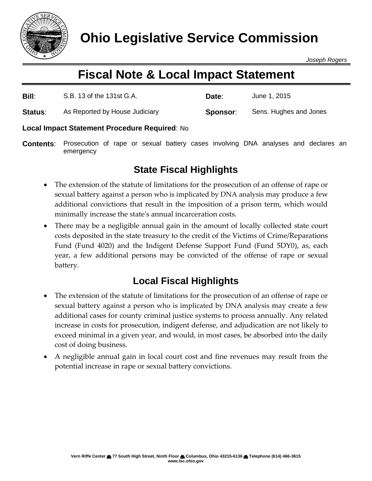

*Joseph Rogers*

# **Fiscal Note & Local Impact Statement**

| Bill:          | S.B. 13 of the 131st G.A.      | Date:    | June 1, 2015           |
|----------------|--------------------------------|----------|------------------------|
| <b>Status:</b> | As Reported by House Judiciary | Sponsor: | Sens. Hughes and Jones |

### **Local Impact Statement Procedure Required**: No

**Contents**: Prosecution of rape or sexual battery cases involving DNA analyses and declares an emergency

## **State Fiscal Highlights**

- The extension of the statute of limitations for the prosecution of an offense of rape or sexual battery against a person who is implicated by DNA analysis may produce a few additional convictions that result in the imposition of a prison term, which would minimally increase the state's annual incarceration costs.
- There may be a negligible annual gain in the amount of locally collected state court costs deposited in the state treasury to the credit of the Victims of Crime/Reparations Fund (Fund 4020) and the Indigent Defense Support Fund (Fund 5DY0), as, each year, a few additional persons may be convicted of the offense of rape or sexual battery.

## **Local Fiscal Highlights**

- The extension of the statute of limitations for the prosecution of an offense of rape or sexual battery against a person who is implicated by DNA analysis may create a few additional cases for county criminal justice systems to process annually. Any related increase in costs for prosecution, indigent defense, and adjudication are not likely to exceed minimal in a given year, and would, in most cases, be absorbed into the daily cost of doing business.
- A negligible annual gain in local court cost and fine revenues may result from the potential increase in rape or sexual battery convictions.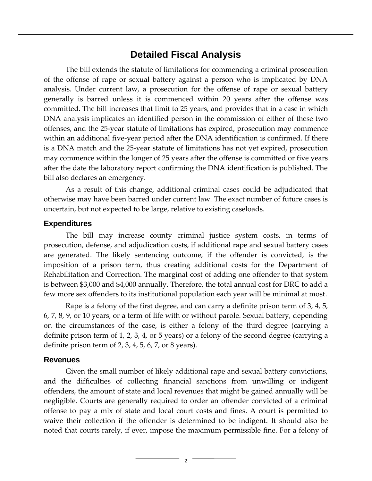### **Detailed Fiscal Analysis**

The bill extends the statute of limitations for commencing a criminal prosecution of the offense of rape or sexual battery against a person who is implicated by DNA analysis. Under current law, a prosecution for the offense of rape or sexual battery generally is barred unless it is commenced within 20 years after the offense was committed. The bill increases that limit to 25 years, and provides that in a case in which DNA analysis implicates an identified person in the commission of either of these two offenses, and the 25-year statute of limitations has expired, prosecution may commence within an additional five-year period after the DNA identification is confirmed. If there is a DNA match and the 25-year statute of limitations has not yet expired, prosecution may commence within the longer of 25 years after the offense is committed or five years after the date the laboratory report confirming the DNA identification is published. The bill also declares an emergency.

As a result of this change, additional criminal cases could be adjudicated that otherwise may have been barred under current law. The exact number of future cases is uncertain, but not expected to be large, relative to existing caseloads.

#### **Expenditures**

The bill may increase county criminal justice system costs, in terms of prosecution, defense, and adjudication costs, if additional rape and sexual battery cases are generated. The likely sentencing outcome, if the offender is convicted, is the imposition of a prison term, thus creating additional costs for the Department of Rehabilitation and Correction. The marginal cost of adding one offender to that system is between \$3,000 and \$4,000 annually. Therefore, the total annual cost for DRC to add a few more sex offenders to its institutional population each year will be minimal at most.

Rape is a felony of the first degree, and can carry a definite prison term of 3, 4, 5, 6, 7, 8, 9, or 10 years, or a term of life with or without parole. Sexual battery, depending on the circumstances of the case, is either a felony of the third degree (carrying a definite prison term of 1, 2, 3, 4, or 5 years) or a felony of the second degree (carrying a definite prison term of 2, 3, 4, 5, 6, 7, or 8 years).

#### **Revenues**

Given the small number of likely additional rape and sexual battery convictions, and the difficulties of collecting financial sanctions from unwilling or indigent offenders, the amount of state and local revenues that might be gained annually will be negligible. Courts are generally required to order an offender convicted of a criminal offense to pay a mix of state and local court costs and fines. A court is permitted to waive their collection if the offender is determined to be indigent. It should also be noted that courts rarely, if ever, impose the maximum permissible fine. For a felony of